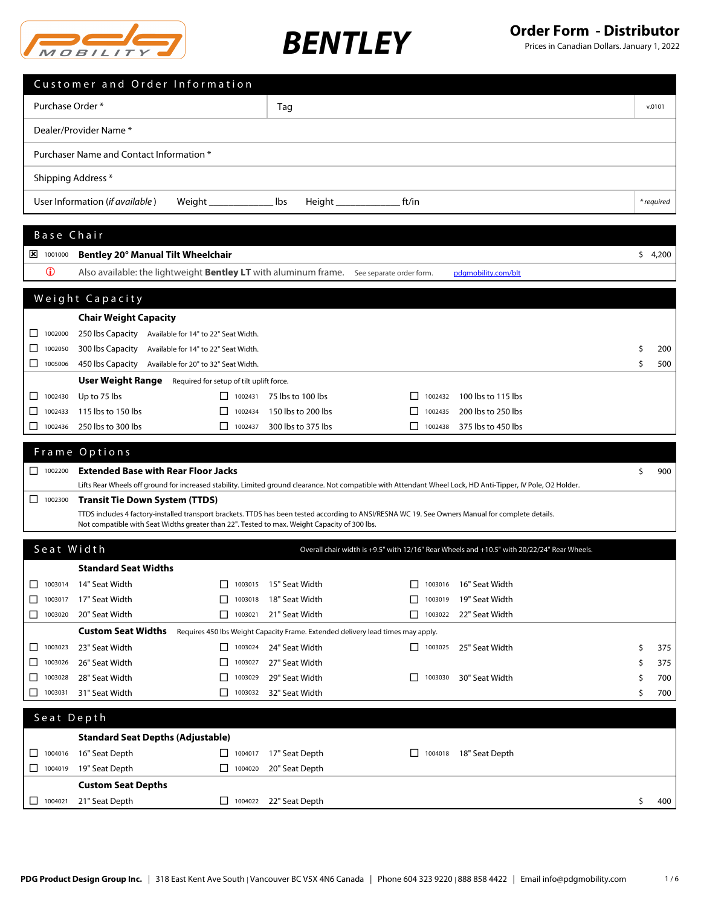

|                       | Customer and Order Information                                                                  |                    |                                  |                                                                                                                                                               |    |            |
|-----------------------|-------------------------------------------------------------------------------------------------|--------------------|----------------------------------|---------------------------------------------------------------------------------------------------------------------------------------------------------------|----|------------|
| Purchase Order *      |                                                                                                 |                    | Tag                              |                                                                                                                                                               |    | v.0101     |
|                       | Dealer/Provider Name *                                                                          |                    |                                  |                                                                                                                                                               |    |            |
|                       | Purchaser Name and Contact Information *                                                        |                    |                                  |                                                                                                                                                               |    |            |
|                       | Shipping Address *                                                                              |                    |                                  |                                                                                                                                                               |    |            |
|                       | User Information (if available)                                                                 | Weight__________   | lbs                              | $Height \_$<br>ft/in                                                                                                                                          |    | * required |
|                       |                                                                                                 |                    |                                  |                                                                                                                                                               |    |            |
| Base Chair            |                                                                                                 |                    |                                  |                                                                                                                                                               |    |            |
| $\frac{1}{2}$ 1001000 | Bentley 20° Manual Tilt Wheelchair                                                              |                    |                                  |                                                                                                                                                               |    | \$4,200    |
| $\mathbf 0$           | Also available: the lightweight <b>Bentley LT</b> with aluminum frame. See separate order form. |                    |                                  | pdgmobility.com/blt                                                                                                                                           |    |            |
|                       | Weight Capacity                                                                                 |                    |                                  |                                                                                                                                                               |    |            |
|                       | <b>Chair Weight Capacity</b>                                                                    |                    |                                  |                                                                                                                                                               |    |            |
| ப<br>1002000          | 250 lbs Capacity Available for 14" to 22" Seat Width.                                           |                    |                                  |                                                                                                                                                               |    |            |
| 1002050<br>ப          | 300 lbs Capacity Available for 14" to 22" Seat Width.                                           |                    |                                  |                                                                                                                                                               | \$ | 200        |
| ◻<br>1005006          | 450 lbs Capacity Available for 20" to 32" Seat Width.                                           |                    |                                  |                                                                                                                                                               | \$ | 500        |
|                       | <b>User Weight Range</b> Required for setup of tilt uplift force.                               |                    |                                  |                                                                                                                                                               |    |            |
| 1002430<br>ப          | Up to 75 lbs                                                                                    |                    | $\Box$ 1002431 75 lbs to 100 lbs | 1002432<br>100 lbs to 115 lbs                                                                                                                                 |    |            |
| 1002433<br>⊔          | 115 lbs to 150 lbs                                                                              | 1002434            | 150 lbs to 200 lbs               | 1002435<br>200 lbs to 250 lbs                                                                                                                                 |    |            |
| □<br>1002436          | 250 lbs to 300 lbs                                                                              | $\Box$ 1002437     | 300 lbs to 375 lbs               | 375 lbs to 450 lbs<br>П<br>1002438                                                                                                                            |    |            |
|                       |                                                                                                 |                    |                                  |                                                                                                                                                               |    |            |
|                       | Frame Options                                                                                   |                    |                                  |                                                                                                                                                               |    |            |
| $\Box$ 1002200        | <b>Extended Base with Rear Floor Jacks</b>                                                      |                    |                                  |                                                                                                                                                               | \$ | 900        |
|                       |                                                                                                 |                    |                                  | Lifts Rear Wheels off ground for increased stability. Limited ground clearance. Not compatible with Attendant Wheel Lock, HD Anti-Tipper, IV Pole, O2 Holder. |    |            |
| □<br>1002300          | <b>Transit Tie Down System (TTDS)</b>                                                           |                    |                                  |                                                                                                                                                               |    |            |
|                       | Not compatible with Seat Widths greater than 22". Tested to max. Weight Capacity of 300 lbs.    |                    |                                  | TTDS includes 4 factory-installed transport brackets. TTDS has been tested according to ANSI/RESNA WC 19. See Owners Manual for complete details.             |    |            |
| Seat Width            |                                                                                                 |                    |                                  | Overall chair width is +9.5" with 12/16" Rear Wheels and +10.5" with 20/22/24" Rear Wheels.                                                                   |    |            |
|                       | <b>Standard Seat Widths</b>                                                                     |                    |                                  |                                                                                                                                                               |    |            |
|                       | $\Box$ 1003014 14" Seat Width                                                                   |                    | $\Box$ 1003015 15" Seat Width    | $\Box$ 1003016 16" Seat Width                                                                                                                                 |    |            |
| ⊔<br>1003017          | 17" Seat Width                                                                                  | ⊔<br>1003018       | 18" Seat Width                   | 19" Seat Width<br>⊔<br>1003019                                                                                                                                |    |            |
| □<br>1003020          | 20" Seat Width                                                                                  | $\Box$ 1003021     | 21" Seat Width                   | 22" Seat Width<br>□<br>1003022                                                                                                                                |    |            |
|                       | <b>Custom Seat Widths</b>                                                                       |                    |                                  | Requires 450 lbs Weight Capacity Frame. Extended delivery lead times may apply.                                                                               |    |            |
| 1003023<br>ப          | 23" Seat Width                                                                                  | 1003024            | 24" Seat Width                   | 25" Seat Width<br>$\Box$<br>1003025                                                                                                                           | \$ | 375        |
| ⊔<br>1003026          | 26" Seat Width                                                                                  | ⊔<br>1003027       | 27" Seat Width                   |                                                                                                                                                               | S  | 375        |
| ⊔<br>1003028          | 28" Seat Width                                                                                  | ⊔<br>1003029       | 29" Seat Width                   | ⊔<br>1003030<br>30" Seat Width                                                                                                                                | \$ | 700        |
| ⊔<br>1003031          | 31" Seat Width                                                                                  | 1003032<br>$\perp$ | 32" Seat Width                   |                                                                                                                                                               | S  | 700        |
| Seat Depth            |                                                                                                 |                    |                                  |                                                                                                                                                               |    |            |
|                       | <b>Standard Seat Depths (Adjustable)</b>                                                        |                    |                                  |                                                                                                                                                               |    |            |
| 1004016<br>ப          | 16" Seat Depth                                                                                  | $\Box$ 1004017     | 17" Seat Depth                   | 18" Seat Depth<br>1004018                                                                                                                                     |    |            |
| □<br>1004019          | 19" Seat Depth                                                                                  | $\Box$ 1004020     | 20" Seat Depth                   |                                                                                                                                                               |    |            |
|                       | <b>Custom Seat Depths</b>                                                                       |                    |                                  |                                                                                                                                                               |    |            |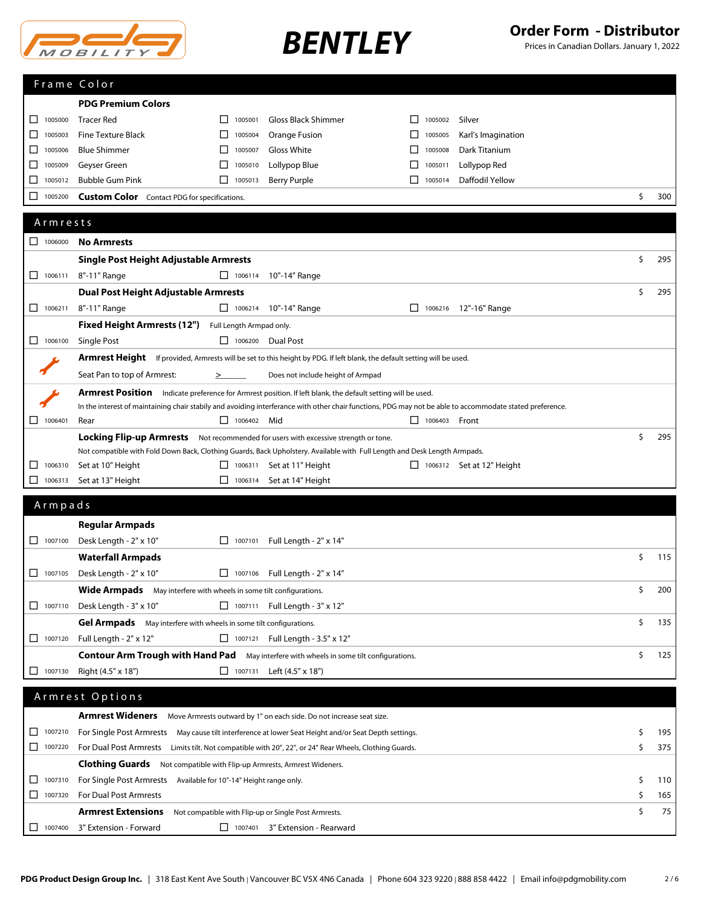| $M$ $O$ $B$ $l$ $l$ $l$ $T$ |
|-----------------------------|

|                                                               | Frame Color                                                                                                                                              |                          |                                                                                            |                         |                                  |    |     |
|---------------------------------------------------------------|----------------------------------------------------------------------------------------------------------------------------------------------------------|--------------------------|--------------------------------------------------------------------------------------------|-------------------------|----------------------------------|----|-----|
|                                                               | <b>PDG Premium Colors</b>                                                                                                                                |                          |                                                                                            |                         |                                  |    |     |
| 1005000<br>ΙI                                                 | <b>Tracer Red</b>                                                                                                                                        | 1005001<br>$\mathsf{L}$  | Gloss Black Shimmer                                                                        | 1005002                 | Silver                           |    |     |
| 1005003<br>ΙI                                                 | <b>Fine Texture Black</b>                                                                                                                                | 1005004                  | Orange Fusion                                                                              | 1005005                 | Karl's Imagination               |    |     |
| □<br>1005006                                                  | <b>Blue Shimmer</b>                                                                                                                                      | П<br>1005007             | Gloss White                                                                                | П<br>1005008            | Dark Titanium                    |    |     |
| ⊔<br>1005009                                                  | Geyser Green                                                                                                                                             | 1005010                  | Lollypop Blue                                                                              | 1005011                 | Lollypop Red                     |    |     |
| ப<br>1005012                                                  | <b>Bubble Gum Pink</b>                                                                                                                                   | $\Box$ 1005013           | <b>Berry Purple</b>                                                                        | $\mathsf{L}$<br>1005014 | Daffodil Yellow                  |    |     |
| 1005200<br>□                                                  | <b>Custom Color</b> Contact PDG for specifications.                                                                                                      |                          |                                                                                            |                         |                                  | \$ | 300 |
|                                                               |                                                                                                                                                          |                          |                                                                                            |                         |                                  |    |     |
| Armrests                                                      |                                                                                                                                                          |                          |                                                                                            |                         |                                  |    |     |
| $\begin{array}{ c c c c c } \hline \quad 1006000 \end{array}$ | <b>No Armrests</b>                                                                                                                                       |                          |                                                                                            |                         |                                  |    |     |
|                                                               | Single Post Height Adjustable Armrests                                                                                                                   |                          |                                                                                            |                         |                                  | \$ | 295 |
| 1006111<br>ΙI                                                 | 8"-11" Range                                                                                                                                             | $\Box$ 1006114           | 10"-14" Range                                                                              |                         |                                  |    |     |
|                                                               | <b>Dual Post Height Adjustable Armrests</b>                                                                                                              |                          |                                                                                            |                         |                                  | \$ | 295 |
| $\Box$ 1006211                                                | 8"-11" Range                                                                                                                                             |                          | $\Box$ 1006214 10"-14" Range                                                               |                         | □ 1006216 12"-16" Range          |    |     |
|                                                               | <b>Fixed Height Armrests (12")</b>                                                                                                                       | Full Length Armpad only. |                                                                                            |                         |                                  |    |     |
| $\Box$ 1006100                                                | Single Post                                                                                                                                              | □ 1006200 Dual Post      |                                                                                            |                         |                                  |    |     |
|                                                               | <b>Armrest Height</b> If provided, Armrests will be set to this height by PDG. If left blank, the default setting will be used.                          |                          |                                                                                            |                         |                                  |    |     |
|                                                               | Seat Pan to top of Armrest:                                                                                                                              | $\geq$                   | Does not include height of Armpad                                                          |                         |                                  |    |     |
|                                                               | <b>Armrest Position</b>                                                                                                                                  |                          | Indicate preference for Armrest position. If left blank, the default setting will be used. |                         |                                  |    |     |
|                                                               | In the interest of maintaining chair stabily and avoiding interferance with other chair functions, PDG may not be able to accommodate stated preference. |                          |                                                                                            |                         |                                  |    |     |
| $\Box$ 1006401                                                | Rear                                                                                                                                                     | $\Box$ 1006402 Mid       |                                                                                            | $\Box$ 1006403 Front    |                                  |    |     |
|                                                               | <b>Locking Flip-up Armrests</b> Not recommended for users with excessive strength or tone.                                                               |                          |                                                                                            |                         |                                  | \$ | 295 |
|                                                               | Not compatible with Fold Down Back, Clothing Guards, Back Upholstery. Available with Full Length and Desk Length Armpads.                                |                          |                                                                                            |                         |                                  |    |     |
| 1006310<br>ப                                                  | Set at 10" Height                                                                                                                                        | 1006311                  | Set at 11" Height                                                                          |                         | $\Box$ 1006312 Set at 12" Height |    |     |
| ⊔<br>1006313                                                  | Set at 13" Height                                                                                                                                        | ⊔<br>1006314             | Set at 14" Height                                                                          |                         |                                  |    |     |
| Armpads                                                       |                                                                                                                                                          |                          |                                                                                            |                         |                                  |    |     |
|                                                               | <b>Regular Armpads</b>                                                                                                                                   |                          |                                                                                            |                         |                                  |    |     |
| $\Box$ 1007100                                                | Desk Length - 2" x 10"                                                                                                                                   | $\Box$ 1007101           | Full Length - 2" x 14"                                                                     |                         |                                  |    |     |
|                                                               | <b>Waterfall Armpads</b>                                                                                                                                 |                          |                                                                                            |                         |                                  | \$ | 115 |
| 1007105<br>□                                                  | Desk Length - 2" x 10"                                                                                                                                   |                          | $\Box$ 1007106 Full Length - 2" x 14"                                                      |                         |                                  |    |     |
|                                                               | Wide Armpads May interfere with wheels in some tilt configurations.                                                                                      |                          |                                                                                            |                         |                                  | Ŝ. | 200 |
| $\Box$ 1007110                                                | Desk Length - 3" x 10"                                                                                                                                   |                          | □ 1007111 Full Length - 3" x 12"                                                           |                         |                                  |    |     |
|                                                               | <b>Gel Armpads</b> May interfere with wheels in some tilt configurations.                                                                                |                          |                                                                                            |                         |                                  | \$ | 135 |
| $\Box$ 1007120                                                | Full Length - 2" x 12"                                                                                                                                   |                          | 1007121 Full Length - 3.5" x 12"                                                           |                         |                                  |    |     |
|                                                               | Contour Arm Trough with Hand Pad May interfere with wheels in some tilt configurations.                                                                  |                          |                                                                                            |                         |                                  | \$ | 125 |
| $\Box$ 1007130                                                | Right (4.5" x 18")                                                                                                                                       |                          | $\Box$ 1007131 Left (4.5" x 18")                                                           |                         |                                  |    |     |
|                                                               |                                                                                                                                                          |                          |                                                                                            |                         |                                  |    |     |
|                                                               | Armrest Options                                                                                                                                          |                          |                                                                                            |                         |                                  |    |     |
|                                                               | Armrest Wideners Move Armrests outward by 1" on each side. Do not increase seat size.                                                                    |                          |                                                                                            |                         |                                  |    |     |
| 1007210<br>ப                                                  | For Single Post Armrests May cause tilt interference at lower Seat Height and/or Seat Depth settings.                                                    |                          |                                                                                            |                         |                                  | \$ | 195 |
| 1007220                                                       | For Dual Post Armrests Limits tilt. Not compatible with 20", 22", or 24" Rear Wheels, Clothing Guards.                                                   |                          |                                                                                            |                         |                                  | \$ | 375 |
|                                                               | <b>Clothing Guards</b> Not compatible with Flip-up Armrests, Armrest Wideners.                                                                           |                          |                                                                                            |                         |                                  |    |     |
| 1007310<br>ΙI                                                 | For Single Post Armrests Available for 10"-14" Height range only.                                                                                        |                          |                                                                                            |                         |                                  | \$ | 110 |
| $\Box$ 1007320                                                | For Dual Post Armrests                                                                                                                                   |                          |                                                                                            |                         |                                  | \$ | 165 |
|                                                               | <b>Armrest Extensions</b>                                                                                                                                |                          | Not compatible with Flip-up or Single Post Armrests.                                       |                         |                                  | \$ | 75  |
| 1007400<br>- 1                                                | 3" Extension - Forward                                                                                                                                   |                          | 1007401 3" Extension - Rearward                                                            |                         |                                  |    |     |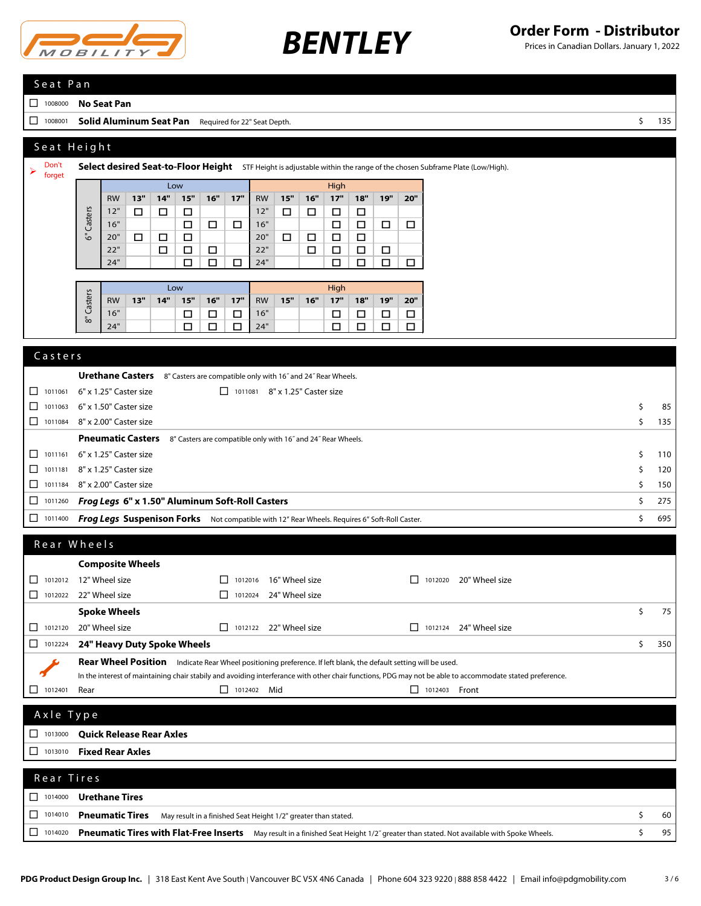

| Seat Pan                               |                                                                                                                                                          |          |            |  |  |  |  |
|----------------------------------------|----------------------------------------------------------------------------------------------------------------------------------------------------------|----------|------------|--|--|--|--|
| 1008000<br>⊔.                          | <b>No Seat Pan</b>                                                                                                                                       |          |            |  |  |  |  |
| 1008001<br>□                           | <b>Solid Aluminum Seat Pan</b> Required for 22" Seat Depth.                                                                                              | \$       | 135        |  |  |  |  |
|                                        | Seat Height                                                                                                                                              |          |            |  |  |  |  |
| Don't                                  |                                                                                                                                                          |          |            |  |  |  |  |
| ➤<br>forget                            | Select desired Seat-to-Floor Height STF Height is adjustable within the range of the chosen Subframe Plate (Low/High).                                   |          |            |  |  |  |  |
|                                        | Low<br>High<br>15"<br>13"<br>14"<br>15"<br>16"<br>17"<br>16"<br>17"<br>18"<br>19"<br>20"<br><b>RW</b><br><b>RW</b>                                       |          |            |  |  |  |  |
|                                        | 12"<br>$\Box$<br>$\Box$<br>12"<br>$\Box$<br>$\Box$<br>□<br>□<br>□                                                                                        |          |            |  |  |  |  |
|                                        | Casters<br>16"<br>16"<br>□<br>$\Box$<br>□<br>$\Box$<br>$\Box$<br>□<br>□                                                                                  |          |            |  |  |  |  |
|                                        | ౿<br>20"<br>□<br>20"<br>$\Box$<br>$\Box$<br>$\Box$<br>$\Box$<br>□<br>□<br>22"<br>22"<br>□<br>$\Box$<br>$\Box$<br>$\Box$<br>$\Box$<br>□<br>□              |          |            |  |  |  |  |
|                                        | 24"<br>$\Box$<br>24"<br>$\Box$<br>□<br>□<br>$\Box$<br>$\Box$<br>$\Box$                                                                                   |          |            |  |  |  |  |
|                                        | Low<br>High                                                                                                                                              |          |            |  |  |  |  |
|                                        | Casters<br>14"<br>15"<br>16"<br>17"<br>15"<br>16"<br>17"<br>18"<br>19"<br>20"<br><b>RW</b><br>13"<br><b>RW</b>                                           |          |            |  |  |  |  |
|                                        | 16"<br>16"<br>□<br>□<br>$\Box$<br>□<br>$\Box$<br>$\Box$<br>□<br>్ధ                                                                                       |          |            |  |  |  |  |
|                                        | 24"<br>$\Box$<br>$\Box$<br>24"<br>□<br>□<br>$\Box$<br>□<br>□                                                                                             |          |            |  |  |  |  |
| Casters                                |                                                                                                                                                          |          |            |  |  |  |  |
|                                        | <b>Urethane Casters</b><br>8" Casters are compatible only with 16" and 24" Rear Wheels.                                                                  |          |            |  |  |  |  |
| 1011061<br>ப                           | 6" x 1.25" Caster size<br>□ 1011081 8" x 1.25" Caster size                                                                                               |          |            |  |  |  |  |
| $\Box$<br>1011063                      | 6" x 1.50" Caster size                                                                                                                                   | \$       | 85         |  |  |  |  |
| $\Box$ 1011084                         | 8" x 2.00" Caster size                                                                                                                                   | \$       | 135        |  |  |  |  |
|                                        | <b>Pneumatic Casters</b><br>8" Casters are compatible only with 16" and 24" Rear Wheels.                                                                 |          |            |  |  |  |  |
| 1011161<br>ப                           | 6" x 1.25" Caster size                                                                                                                                   | \$       | 110        |  |  |  |  |
| $\Box$<br>1011181<br>$\Box$<br>1011184 | 8" x 1.25" Caster size<br>8" x 2.00" Caster size                                                                                                         | \$<br>\$ | 120<br>150 |  |  |  |  |
| 1011260<br>⊔                           | Frog Legs 6" x 1.50" Aluminum Soft-Roll Casters                                                                                                          | \$       | 275        |  |  |  |  |
| $\Box$ 1011400                         | Frog Legs Suspenison Forks Not compatible with 12" Rear Wheels. Requires 6" Soft-Roll Caster.                                                            | \$       | 695        |  |  |  |  |
|                                        |                                                                                                                                                          |          |            |  |  |  |  |
|                                        | Rear Wheels                                                                                                                                              |          |            |  |  |  |  |
|                                        | <b>Composite Wheels</b>                                                                                                                                  |          |            |  |  |  |  |
|                                        | 1012012 12" Wheel size<br>$\Box$ 1012016 16" Wheel size<br>1012020 20" Wheel size                                                                        |          |            |  |  |  |  |
| $\Box$ 1012022                         | 22" Wheel size<br>$\Box$ 1012024 24" Wheel size                                                                                                          | \$       | 75         |  |  |  |  |
| $\Box$ 1012120                         | <b>Spoke Wheels</b><br>20" Wheel size<br>$\Box$ 1012122 22" Wheel size<br>$\Box$ 1012124 24" Wheel size                                                  |          |            |  |  |  |  |
| 1012224                                | 24" Heavy Duty Spoke Wheels                                                                                                                              | \$       | 350        |  |  |  |  |
|                                        | Rear Wheel Position Indicate Rear Wheel positioning preference. If left blank, the default setting will be used.                                         |          |            |  |  |  |  |
|                                        | In the interest of maintaining chair stabily and avoiding interferance with other chair functions, PDG may not be able to accommodate stated preference. |          |            |  |  |  |  |
| 1012401                                | $\Box$ 1012402 Mid<br>$\Box$ 1012403 Front<br>Rear                                                                                                       |          |            |  |  |  |  |
| Axle Type                              |                                                                                                                                                          |          |            |  |  |  |  |
| $\Box$ 1013000                         | <b>Quick Release Rear Axles</b>                                                                                                                          |          |            |  |  |  |  |
| $\Box$ 1013010                         | <b>Fixed Rear Axles</b>                                                                                                                                  |          |            |  |  |  |  |
|                                        |                                                                                                                                                          |          |            |  |  |  |  |
| Rear Tires                             |                                                                                                                                                          |          |            |  |  |  |  |
| 1014000<br>ப                           | <b>Urethane Tires</b>                                                                                                                                    |          |            |  |  |  |  |
| ⊔<br>1014010                           | <b>Pneumatic Tires</b><br>May result in a finished Seat Height 1/2" greater than stated.                                                                 | \$       | 60         |  |  |  |  |
| $\Box$ 1014020                         | Pneumatic Tires with Flat-Free Inserts May result in a finished Seat Height 1/2" greater than stated. Not available with Spoke Wheels.                   | \$       | 95         |  |  |  |  |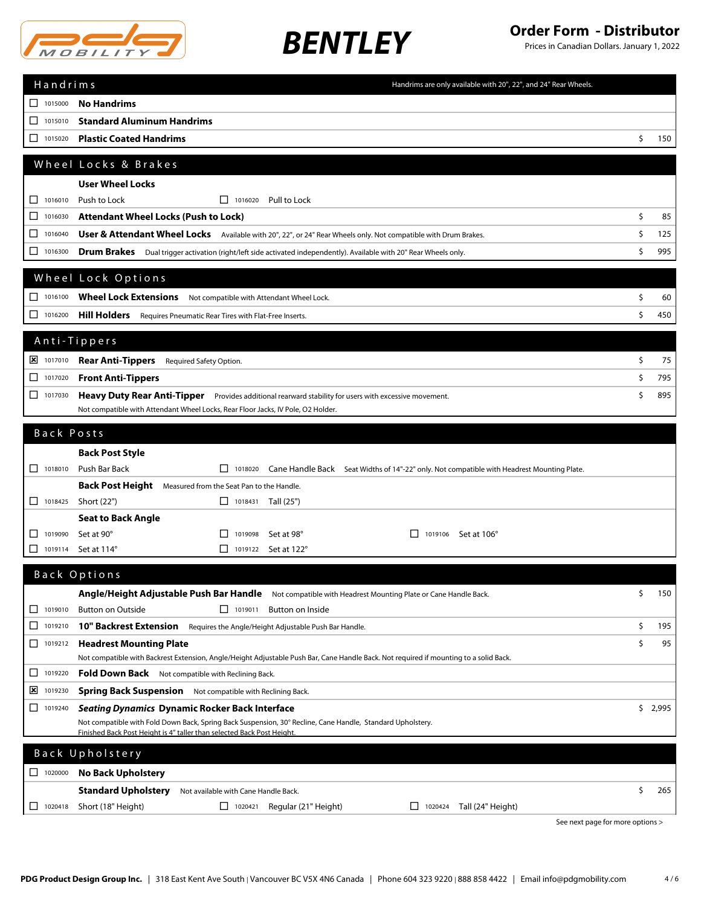

| Handrims                                                      | Handrims are only available with 20", 22", and 24" Rear Wheels.                                                                                                                      |    |         |
|---------------------------------------------------------------|--------------------------------------------------------------------------------------------------------------------------------------------------------------------------------------|----|---------|
| 1015000                                                       | <b>No Handrims</b>                                                                                                                                                                   |    |         |
| 1015010<br>□                                                  | <b>Standard Aluminum Handrims</b>                                                                                                                                                    |    |         |
| 1015020<br>□                                                  | <b>Plastic Coated Handrims</b>                                                                                                                                                       | \$ | 150     |
|                                                               | Wheel Locks & Brakes                                                                                                                                                                 |    |         |
|                                                               |                                                                                                                                                                                      |    |         |
| 1016010<br>□                                                  | <b>User Wheel Locks</b><br>Push to Lock<br>$\Box$ 1016020<br>Pull to Lock                                                                                                            |    |         |
| 1016030<br>⊔                                                  | <b>Attendant Wheel Locks (Push to Lock)</b>                                                                                                                                          | \$ | 85      |
| 1016040<br>□                                                  | User & Attendant Wheel Locks Available with 20", 22", or 24" Rear Wheels only. Not compatible with Drum Brakes.                                                                      | \$ | 125     |
| 1016300<br>□                                                  | Drum Brakes Dual trigger activation (right/left side activated independently). Available with 20" Rear Wheels only.                                                                  | \$ | 995     |
|                                                               |                                                                                                                                                                                      |    |         |
|                                                               | Wheel Lock Options                                                                                                                                                                   |    |         |
| $\Box$ 1016100                                                | <b>Wheel Lock Extensions</b><br>Not compatible with Attendant Wheel Lock.                                                                                                            | \$ | 60      |
| 1016200                                                       | <b>Hill Holders</b> Requires Pneumatic Rear Tires with Flat-Free Inserts.                                                                                                            | \$ | 450     |
|                                                               | Anti-Tippers                                                                                                                                                                         |    |         |
| $\frac{1}{2}$ 1017010                                         | <b>Rear Anti-Tippers</b> Required Safety Option.                                                                                                                                     | \$ | 75      |
| □<br>1017020                                                  | <b>Front Anti-Tippers</b>                                                                                                                                                            | \$ | 795     |
| □<br>1017030                                                  | <b>Heavy Duty Rear Anti-Tipper</b> Provides additional rearward stability for users with excessive movement.                                                                         | Ś  | 895     |
|                                                               | Not compatible with Attendant Wheel Locks, Rear Floor Jacks, IV Pole, O2 Holder.                                                                                                     |    |         |
|                                                               |                                                                                                                                                                                      |    |         |
| Back Posts                                                    |                                                                                                                                                                                      |    |         |
| $\Box$ 1018010                                                | <b>Back Post Style</b><br>Push Bar Back<br>$\Box$ 1018020                                                                                                                            |    |         |
|                                                               | Cane Handle Back Seat Widths of 14"-22" only. Not compatible with Headrest Mounting Plate.<br>Back Post Height Measured from the Seat Pan to the Handle.                             |    |         |
| $\begin{array}{ c c c c c } \hline \quad 1018425 \end{array}$ | Short (22")<br>$\Box$ 1018431 Tall (25")                                                                                                                                             |    |         |
|                                                               | <b>Seat to Back Angle</b>                                                                                                                                                            |    |         |
| 1019090<br>ப                                                  | Set at 90°<br>Set at 98°<br>ΙI<br>1019098<br>1019106 Set at 106°                                                                                                                     |    |         |
| ப<br>1019114                                                  | Set at 114°<br>$\Box$ 1019122 Set at 122°                                                                                                                                            |    |         |
|                                                               | Back Options                                                                                                                                                                         |    |         |
|                                                               | Angle/Height Adjustable Push Bar Handle Not compatible with Headrest Mounting Plate or Cane Handle Back.                                                                             | \$ | 150     |
| 1019010<br>ப                                                  | <b>Button on Outside</b><br>$\Box$ 1019011<br><b>Button on Inside</b>                                                                                                                |    |         |
| ◻<br>1019210                                                  | 10" Backrest Extension Requires the Angle/Height Adjustable Push Bar Handle.                                                                                                         | \$ | 195     |
| □<br>1019212                                                  | <b>Headrest Mounting Plate</b>                                                                                                                                                       | \$ | 95      |
|                                                               | Not compatible with Backrest Extension, Angle/Height Adjustable Push Bar, Cane Handle Back. Not required if mounting to a solid Back.                                                |    |         |
| 1019220                                                       | <b>Fold Down Back</b> Not compatible with Reclining Back.                                                                                                                            |    |         |
| ⊠<br>1019230                                                  | Spring Back Suspension Not compatible with Reclining Back.                                                                                                                           |    |         |
| □<br>1019240                                                  | Seating Dynamics Dynamic Rocker Back Interface                                                                                                                                       |    | \$2,995 |
|                                                               | Not compatible with Fold Down Back, Spring Back Suspension, 30° Recline, Cane Handle, Standard Upholstery.<br>Finished Back Post Height is 4" taller than selected Back Post Height. |    |         |
|                                                               |                                                                                                                                                                                      |    |         |
|                                                               | Back Upholstery                                                                                                                                                                      |    |         |
| $\Box$ 1020000                                                | <b>No Back Upholstery</b>                                                                                                                                                            |    |         |
|                                                               | <b>Standard Upholstery</b><br>Not available with Cane Handle Back.                                                                                                                   | \$ | 265     |
| ⊔<br>1020418                                                  | Short (18" Height)<br>1020421<br>Regular (21" Height)<br>Tall (24" Height)<br>ப<br>1020424<br>See next page for more options >                                                       |    |         |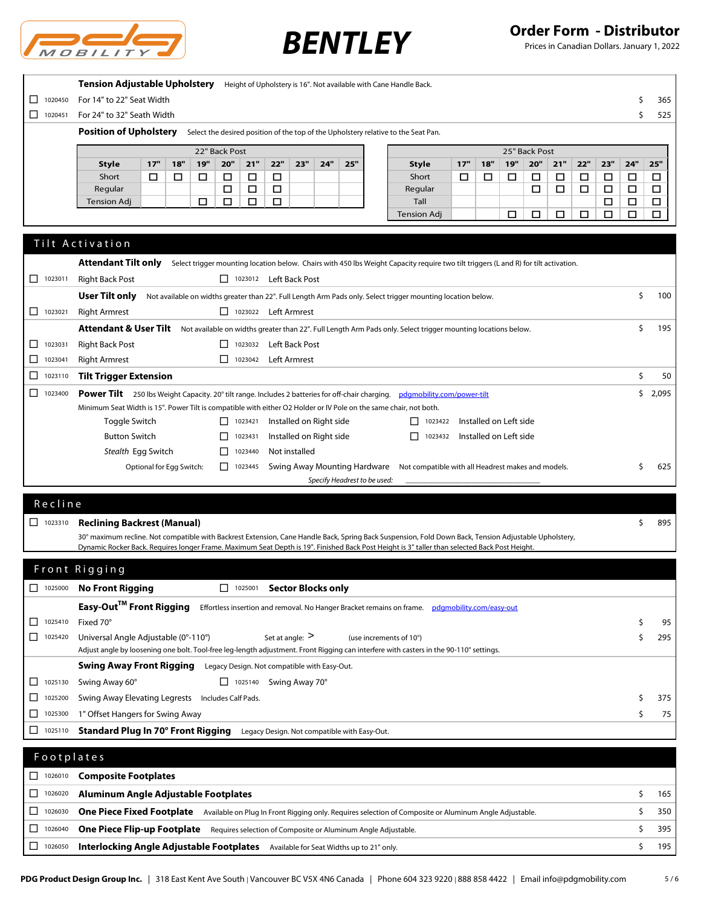

| $\Box$ 1020450<br>For 14" to 22" Seat Width                                                                                                                                                                   |                   | S      | 365    |
|---------------------------------------------------------------------------------------------------------------------------------------------------------------------------------------------------------------|-------------------|--------|--------|
| $\Box$<br>1020451<br>For 24" to 32" Seath Width                                                                                                                                                               |                   | Ś      | 525    |
| <b>Position of Upholstery</b><br>Select the desired position of the top of the Upholstery relative to the Seat Pan.                                                                                           |                   |        |        |
|                                                                                                                                                                                                               |                   |        |        |
| 22" Back Post<br>25" Back Post<br>19"<br>17"<br>19"<br>20"<br>21"<br>22"<br>17"<br>20"<br><b>Style</b><br>18"<br>23"<br>24"<br>25"<br><b>Style</b><br>18"                                                     | 22"<br>23"<br>21" | 24"    | 25"    |
| Short<br>$\Box$<br>$\Box$<br>Short<br>□<br>□<br>□<br>□<br>□<br>□<br>□<br>□                                                                                                                                    | $\Box$<br>□<br>□  | $\Box$ | □      |
| Regular<br>$\Box$<br>$\Box$<br>$\Box$<br>Regular<br>□                                                                                                                                                         | □<br>□<br>$\Box$  | $\Box$ | $\Box$ |
| □<br>Tall<br><b>Tension Adj</b><br>□<br>□<br>□                                                                                                                                                                | □                 | □      | □      |
| <b>Tension Adj</b><br>□<br>□                                                                                                                                                                                  | □<br>□<br>□       | □      | □      |
| Tilt Activation                                                                                                                                                                                               |                   |        |        |
| <b>Attendant Tilt only</b><br>Select trigger mounting location below. Chairs with 450 lbs Weight Capacity require two tilt triggers (L and R) for tilt activation.                                            |                   |        |        |
| <b>Right Back Post</b><br>1023012 Left Back Post<br>$\Box$ 1023011                                                                                                                                            |                   |        |        |
| User Tilt only<br>Not available on widths greater than 22". Full Length Arm Pads only. Select trigger mounting location below.                                                                                |                   | \$     | 100    |
| $\Box$ 1023021<br><b>Right Armrest</b><br>1023022 Left Armrest                                                                                                                                                |                   |        |        |
| Attendant & User Tilt Not available on widths greater than 22". Full Length Arm Pads only. Select trigger mounting locations below.<br><b>Right Back Post</b><br>1023032 Left Back Post<br>1023031<br>П       |                   | \$     | 195    |
| <b>Right Armrest</b><br>П.<br>Left Armrest<br>□<br>1023042<br>1023041                                                                                                                                         |                   |        |        |
| <b>Tilt Trigger Extension</b><br>□<br>1023110                                                                                                                                                                 |                   | \$     | 50     |
| $\Box$ 1023400<br><b>Power Tilt</b> 250 lbs Weight Capacity. 20° tilt range. Includes 2 batteries for off-chair charging. pdgmobility.com/power-tilt                                                          |                   | \$.    | 2,095  |
| Minimum Seat Width is 15". Power Tilt is compatible with either O2 Holder or IV Pole on the same chair, not both.                                                                                             |                   |        |        |
| $\boxed{\phantom{1}}$ 1023421<br>Installed on Right side<br>Installed on Left side<br>Toggle Switch<br>1023422                                                                                                |                   |        |        |
| <b>Button Switch</b><br>Installed on Right side<br>П<br>Installed on Left side<br>П<br>1023431<br>1023432                                                                                                     |                   |        |        |
| Stealth Egg Switch<br>П.<br>Not installed<br>1023440                                                                                                                                                          |                   |        |        |
| Optional for Egg Switch:<br>$\Box$ 1023445<br>Swing Away Mounting Hardware Not compatible with all Headrest makes and models.                                                                                 |                   | s      | 625    |
| Specify Headrest to be used:                                                                                                                                                                                  |                   |        |        |
|                                                                                                                                                                                                               |                   |        |        |
|                                                                                                                                                                                                               |                   |        |        |
| Recline                                                                                                                                                                                                       |                   |        |        |
| $\Box$ 1023310<br><b>Reclining Backrest (Manual)</b><br>30° maximum recline. Not compatible with Backrest Extension, Cane Handle Back, Spring Back Suspension, Fold Down Back, Tension Adjustable Upholstery, |                   |        | 895    |
| Dynamic Rocker Back. Requires longer Frame. Maximum Seat Depth is 19". Finished Back Post Height is 3" taller than selected Back Post Height.                                                                 |                   |        |        |
| Front Rigging                                                                                                                                                                                                 |                   |        |        |
| 1025001 Sector Blocks only<br>$\Box$<br>1025000<br><b>No Front Rigging</b>                                                                                                                                    |                   |        |        |
|                                                                                                                                                                                                               |                   |        |        |
| Easy-Out™ Front Rigging<br>Effortless insertion and removal. No Hanger Bracket remains on frame. pdgmobility.com/easy-out<br>Fixed 70°<br>□<br>1025410                                                        |                   | \$     | 95     |
| 1025420<br>Universal Angle Adjustable (0°-110°)<br>Set at angle: $>$<br>(use increments of 10°)                                                                                                               |                   | \$     | 295    |
| Adjust angle by loosening one bolt. Tool-free leg-length adjustment. Front Rigging can interfere with casters in the 90-110° settings.                                                                        |                   |        |        |
| Swing Away Front Rigging<br>Legacy Design. Not compatible with Easy-Out.                                                                                                                                      |                   |        |        |
| $\Box$ 1025140 Swing Away 70°<br>$\Box$ 1025130<br>Swing Away 60°                                                                                                                                             |                   |        |        |
| Swing Away Elevating Legrests Includes Calf Pads.<br>□<br>1025200                                                                                                                                             |                   | \$     | 375    |
| 1" Offset Hangers for Swing Away<br>□<br>1025300                                                                                                                                                              |                   | \$     | 75     |
| Standard Plug In 70° Front Rigging<br>$\Box$ 1025110<br>Legacy Design. Not compatible with Easy-Out.                                                                                                          |                   |        |        |
| Footplates                                                                                                                                                                                                    |                   |        |        |
| 1026010<br><b>Composite Footplates</b><br>ப                                                                                                                                                                   |                   |        |        |
| 1026020<br>Aluminum Angle Adjustable Footplates<br>ப                                                                                                                                                          |                   | \$     | 165    |
| 1026030<br>ப<br>One Piece Fixed Footplate Available on Plug In Front Rigging only. Requires selection of Composite or Aluminum Angle Adjustable.                                                              |                   | \$     | 350    |
| <b>One Piece Flip-up Footplate</b> Requires selection of Composite or Aluminum Angle Adjustable.<br>□<br>1026040                                                                                              |                   | \$     | 395    |